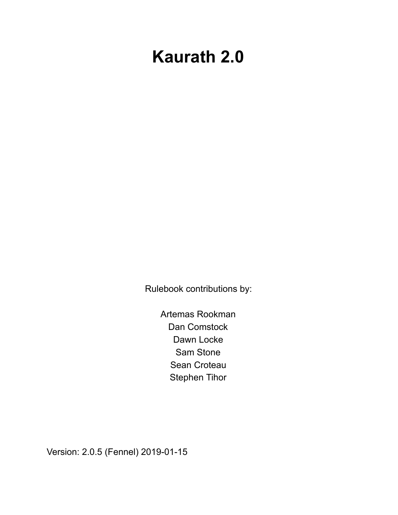# **Kaurath 2.0**

Rulebook contributions by:

Artemas Rookman Dan Comstock Dawn Locke Sam Stone Sean Croteau Stephen Tihor

Version: 2.0.5 (Fennel) 2019-01-15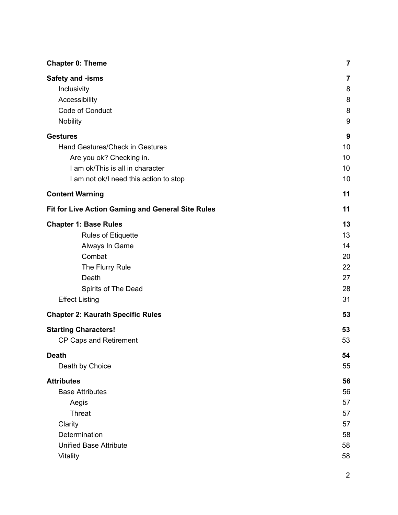| <b>Chapter 0: Theme</b>                                                         | 7                     |
|---------------------------------------------------------------------------------|-----------------------|
| Safety and -isms<br>Inclusivity<br>Accessibility<br>Code of Conduct<br>Nobility | 7<br>8<br>8<br>8<br>9 |
| <b>Gestures</b>                                                                 | 9                     |
| Hand Gestures/Check in Gestures                                                 | 10                    |
| Are you ok? Checking in.<br>I am ok/This is all in character                    | 10<br>10              |
| I am not ok/I need this action to stop                                          | 10                    |
| <b>Content Warning</b>                                                          | 11                    |
| Fit for Live Action Gaming and General Site Rules                               | 11                    |
| <b>Chapter 1: Base Rules</b>                                                    | 13                    |
| Rules of Etiquette                                                              | 13                    |
| Always In Game                                                                  | 14                    |
| Combat                                                                          | 20                    |
| The Flurry Rule                                                                 | 22                    |
| Death                                                                           | 27                    |
| Spirits of The Dead                                                             | 28                    |
| <b>Effect Listing</b>                                                           | 31                    |
| <b>Chapter 2: Kaurath Specific Rules</b>                                        | 53                    |
| <b>Starting Characters!</b>                                                     | 53                    |
| <b>CP Caps and Retirement</b>                                                   | 53                    |
| <b>Death</b>                                                                    | 54                    |
| Death by Choice                                                                 | 55                    |
| <b>Attributes</b>                                                               | 56                    |
| <b>Base Attributes</b>                                                          | 56                    |
| Aegis                                                                           | 57                    |
| <b>Threat</b>                                                                   | 57                    |
| Clarity                                                                         | 57                    |
| Determination                                                                   | 58                    |
| <b>Unified Base Attribute</b>                                                   | 58                    |
| Vitality                                                                        | 58                    |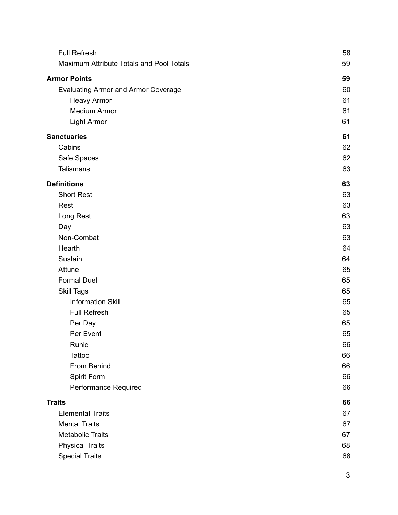| <b>Full Refresh</b>                        | 58 |
|--------------------------------------------|----|
| Maximum Attribute Totals and Pool Totals   | 59 |
| <b>Armor Points</b>                        | 59 |
| <b>Evaluating Armor and Armor Coverage</b> | 60 |
| <b>Heavy Armor</b>                         | 61 |
| Medium Armor                               | 61 |
| <b>Light Armor</b>                         | 61 |
| <b>Sanctuaries</b>                         | 61 |
| Cabins                                     | 62 |
| Safe Spaces                                | 62 |
| <b>Talismans</b>                           | 63 |
| <b>Definitions</b>                         | 63 |
| <b>Short Rest</b>                          | 63 |
| Rest                                       | 63 |
| Long Rest                                  | 63 |
| Day                                        | 63 |
| Non-Combat                                 | 63 |
| Hearth                                     | 64 |
| Sustain                                    | 64 |
| Attune                                     | 65 |
| <b>Formal Duel</b>                         | 65 |
| <b>Skill Tags</b>                          | 65 |
| <b>Information Skill</b>                   | 65 |
| <b>Full Refresh</b>                        | 65 |
| Per Day                                    | 65 |
| Per Event                                  | 65 |
| Runic                                      | 66 |
| Tattoo                                     | 66 |
| From Behind                                | 66 |
| Spirit Form                                | 66 |
| Performance Required                       | 66 |
| <b>Traits</b>                              | 66 |
| <b>Elemental Traits</b>                    | 67 |
| <b>Mental Traits</b>                       | 67 |
| <b>Metabolic Traits</b>                    | 67 |
| <b>Physical Traits</b>                     | 68 |
| <b>Special Traits</b>                      | 68 |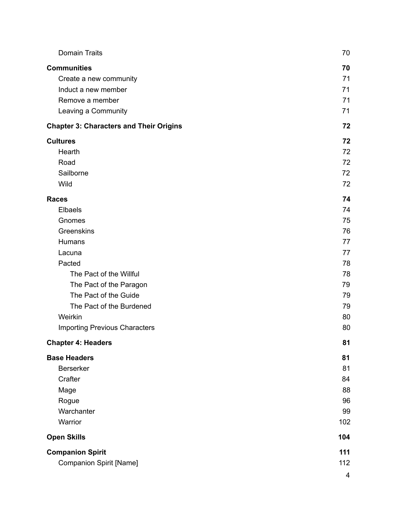| <b>Domain Traits</b>                           | 70                      |
|------------------------------------------------|-------------------------|
| <b>Communities</b>                             | 70                      |
| Create a new community                         | 71                      |
| Induct a new member                            | 71                      |
| Remove a member                                | 71                      |
| Leaving a Community                            | 71                      |
| <b>Chapter 3: Characters and Their Origins</b> | 72                      |
| <b>Cultures</b>                                | 72                      |
| Hearth                                         | 72                      |
| Road                                           | 72                      |
| Sailborne                                      | 72                      |
| Wild                                           | 72                      |
| <b>Races</b>                                   | 74                      |
| Elbaels                                        | 74                      |
| Gnomes                                         | 75                      |
| Greenskins                                     | 76                      |
| Humans                                         | 77                      |
| Lacuna                                         | 77                      |
| Pacted                                         | 78                      |
| The Pact of the Willful                        | 78                      |
| The Pact of the Paragon                        | 79                      |
| The Pact of the Guide                          | 79                      |
| The Pact of the Burdened                       | 79                      |
| Weirkin                                        | 80                      |
| <b>Importing Previous Characters</b>           | 80                      |
| <b>Chapter 4: Headers</b>                      | 81                      |
| <b>Base Headers</b>                            | 81                      |
| Berserker                                      | 81                      |
| Crafter                                        | 84                      |
| Mage                                           | 88                      |
| Rogue                                          | 96                      |
| Warchanter                                     | 99                      |
| Warrior                                        | 102                     |
| <b>Open Skills</b>                             | 104                     |
| <b>Companion Spirit</b>                        | 111                     |
| <b>Companion Spirit [Name]</b>                 | 112                     |
|                                                | $\overline{\mathbf{4}}$ |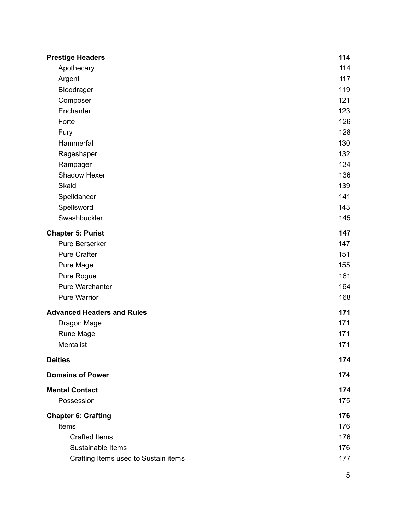| <b>Prestige Headers</b>              | 114 |
|--------------------------------------|-----|
| Apothecary                           | 114 |
| Argent                               | 117 |
| Bloodrager                           | 119 |
| Composer                             | 121 |
| Enchanter                            | 123 |
| Forte                                | 126 |
| Fury                                 | 128 |
| Hammerfall                           | 130 |
| Rageshaper                           | 132 |
| Rampager                             | 134 |
| Shadow Hexer                         | 136 |
| <b>Skald</b>                         | 139 |
| Spelldancer                          | 141 |
| Spellsword                           | 143 |
| Swashbuckler                         | 145 |
| <b>Chapter 5: Purist</b>             | 147 |
| Pure Berserker                       | 147 |
| <b>Pure Crafter</b>                  | 151 |
| Pure Mage                            | 155 |
| Pure Rogue                           | 161 |
| Pure Warchanter                      | 164 |
| <b>Pure Warrior</b>                  | 168 |
| <b>Advanced Headers and Rules</b>    | 171 |
| Dragon Mage                          | 171 |
| Rune Mage                            | 171 |
| Mentalist                            | 171 |
| <b>Deities</b>                       | 174 |
| <b>Domains of Power</b>              | 174 |
| <b>Mental Contact</b>                | 174 |
| Possession                           | 175 |
| <b>Chapter 6: Crafting</b>           | 176 |
| Items                                | 176 |
| <b>Crafted Items</b>                 | 176 |
| Sustainable Items                    | 176 |
| Crafting Items used to Sustain items | 177 |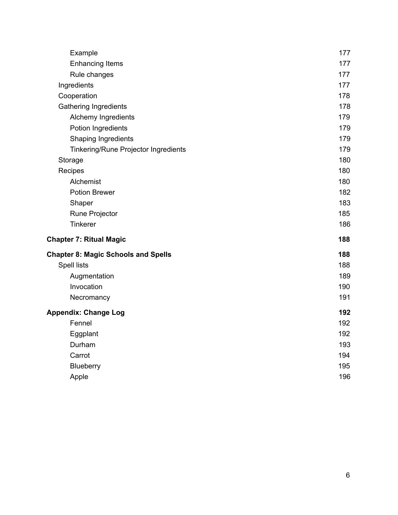| Example                                    | 177 |
|--------------------------------------------|-----|
| <b>Enhancing Items</b>                     | 177 |
| Rule changes                               | 177 |
| Ingredients                                | 177 |
| Cooperation                                | 178 |
| <b>Gathering Ingredients</b>               | 178 |
| Alchemy Ingredients                        | 179 |
| Potion Ingredients                         | 179 |
| Shaping Ingredients                        | 179 |
| Tinkering/Rune Projector Ingredients       | 179 |
| Storage                                    | 180 |
| Recipes                                    | 180 |
| Alchemist                                  | 180 |
| Potion Brewer                              | 182 |
| Shaper                                     | 183 |
| Rune Projector                             | 185 |
| Tinkerer                                   | 186 |
| <b>Chapter 7: Ritual Magic</b>             | 188 |
| <b>Chapter 8: Magic Schools and Spells</b> | 188 |
| <b>Spell lists</b>                         | 188 |
| Augmentation                               | 189 |
| Invocation                                 | 190 |
| Necromancy                                 | 191 |
| <b>Appendix: Change Log</b>                | 192 |
| Fennel                                     | 192 |
| Eggplant                                   | 192 |
| Durham                                     | 193 |
| Carrot                                     | 194 |
| Blueberry                                  | 195 |
| Apple                                      | 196 |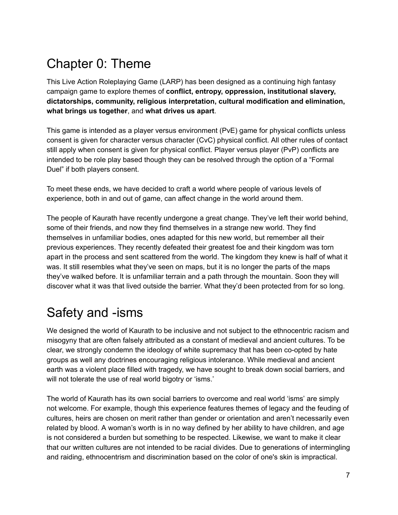## Chapter 0: Theme

This Live Action Roleplaying Game (LARP) has been designed as a continuing high fantasy campaign game to explore themes of **conflict, entropy, oppression, institutional slavery, dictatorships, community, religious interpretation, cultural modification and elimination, what brings us together**, and **what drives us apart**.

This game is intended as a player versus environment (PvE) game for physical conflicts unless consent is given for character versus character (CvC) physical conflict. All other rules of contact still apply when consent is given for physical conflict. Player versus player (PvP) conflicts are intended to be role play based though they can be resolved through the option of a "Formal Duel" if both players consent.

To meet these ends, we have decided to craft a world where people of various levels of experience, both in and out of game, can affect change in the world around them.

The people of Kaurath have recently undergone a great change. They've left their world behind, some of their friends, and now they find themselves in a strange new world. They find themselves in unfamiliar bodies, ones adapted for this new world, but remember all their previous experiences. They recently defeated their greatest foe and their kingdom was torn apart in the process and sent scattered from the world. The kingdom they knew is half of what it was. It still resembles what they've seen on maps, but it is no longer the parts of the maps they've walked before. It is unfamiliar terrain and a path through the mountain. Soon they will discover what it was that lived outside the barrier. What they'd been protected from for so long.

## Safety and -isms

We designed the world of Kaurath to be inclusive and not subject to the ethnocentric racism and misogyny that are often falsely attributed as a constant of medieval and ancient cultures. To be clear, we strongly condemn the ideology of white supremacy that has been co-opted by hate groups as well any doctrines encouraging religious intolerance. While medieval and ancient earth was a violent place filled with tragedy, we have sought to break down social barriers, and will not tolerate the use of real world bigotry or 'isms.'

The world of Kaurath has its own social barriers to overcome and real world 'isms' are simply not welcome. For example, though this experience features themes of legacy and the feuding of cultures, heirs are chosen on merit rather than gender or orientation and aren't necessarily even related by blood. A woman's worth is in no way defined by her ability to have children, and age is not considered a burden but something to be respected. Likewise, we want to make it clear that our written cultures are not intended to be racial divides. Due to generations of intermingling and raiding, ethnocentrism and discrimination based on the color of one's skin is impractical.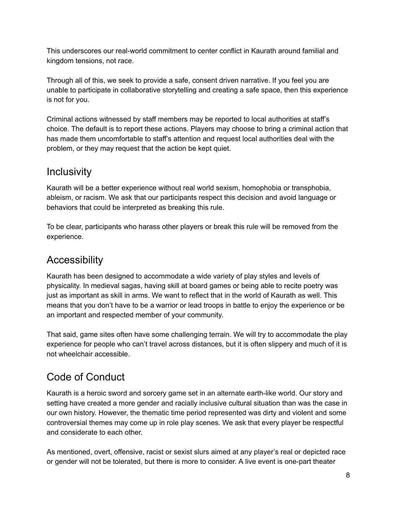This underscores our real-world commitment to center conflict in Kaurath around familial and kingdom tensions, not race.

Through all of this, we seek to provide a safe, consent driven narrative. If you feel you are unable to participate in collaborative storytelling and creating a safe space, then this experience is not for you.

Criminal actions witnessed by staff members may be reported to local authorities at staff's choice. The default is to report these actions. Players may choose to bring a criminal action that has made them uncomfortable to staff's attention and request local authorities deal with the problem, or they may request that the action be kept quiet.

#### **Inclusivity**

Kaurath will be a better experience without real world sexism, homophobia or transphobia, ableism, or racism. We ask that our participants respect this decision and avoid language or behaviors that could be interpreted as breaking this rule.

To be clear, participants who harass other players or break this rule will be removed from the experience.

### Accessibility

Kaurath has been designed to accommodate a wide variety of play styles and levels of physicality. In medieval sagas, having skill at board games or being able to recite poetry was just as important as skill in arms. We want to reflect that in the world of Kaurath as well. This means that you don't have to be a warrior or lead troops in battle to enjoy the experience or be an important and respected member of your community.

That said, game sites often have some challenging terrain. We will try to accommodate the play experience for people who can't travel across distances, but it is often slippery and much of it is not wheelchair accessible.

### Code of Conduct

Kaurath is a heroic sword and sorcery game set in an alternate earth-like world. Our story and setting have created a more gender and racially inclusive cultural situation than was the case in our own history. However, the thematic time period represented was dirty and violent and some controversial themes may come up in role play scenes. We ask that every player be respectful and considerate to each other.

As mentioned, overt, offensive, racist or sexist slurs aimed at any player's real or depicted race or gender will not be tolerated, but there is more to consider. A live event is one-part theater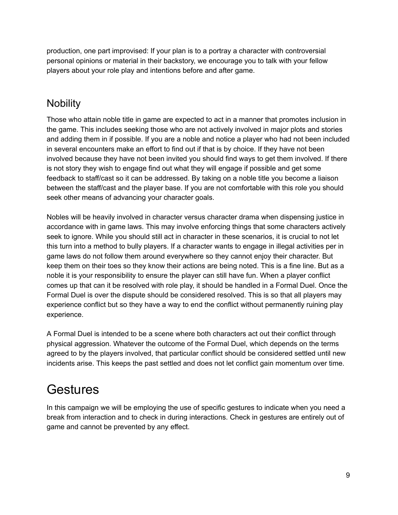production, one part improvised: If your plan is to a portray a character with controversial personal opinions or material in their backstory, we encourage you to talk with your fellow players about your role play and intentions before and after game.

### **Nobility**

Those who attain noble title in game are expected to act in a manner that promotes inclusion in the game. This includes seeking those who are not actively involved in major plots and stories and adding them in if possible. If you are a noble and notice a player who had not been included in several encounters make an effort to find out if that is by choice. If they have not been involved because they have not been invited you should find ways to get them involved. If there is not story they wish to engage find out what they will engage if possible and get some feedback to staff/cast so it can be addressed. By taking on a noble title you become a liaison between the staff/cast and the player base. If you are not comfortable with this role you should seek other means of advancing your character goals.

Nobles will be heavily involved in character versus character drama when dispensing justice in accordance with in game laws. This may involve enforcing things that some characters actively seek to ignore. While you should still act in character in these scenarios, it is crucial to not let this turn into a method to bully players. If a character wants to engage in illegal activities per in game laws do not follow them around everywhere so they cannot enjoy their character. But keep them on their toes so they know their actions are being noted. This is a fine line. But as a noble it is your responsibility to ensure the player can still have fun. When a player conflict comes up that can it be resolved with role play, it should be handled in a Formal Duel. Once the Formal Duel is over the dispute should be considered resolved. This is so that all players may experience conflict but so they have a way to end the conflict without permanently ruining play experience.

A Formal Duel is intended to be a scene where both characters act out their conflict through physical aggression. Whatever the outcome of the Formal Duel, which depends on the terms agreed to by the players involved, that particular conflict should be considered settled until new incidents arise. This keeps the past settled and does not let conflict gain momentum over time.

## **Gestures**

In this campaign we will be employing the use of specific gestures to indicate when you need a break from interaction and to check in during interactions. Check in gestures are entirely out of game and cannot be prevented by any effect.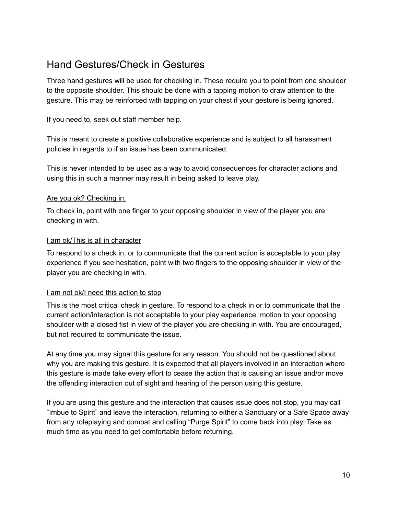#### Hand Gestures/Check in Gestures

Three hand gestures will be used for checking in. These require you to point from one shoulder to the opposite shoulder. This should be done with a tapping motion to draw attention to the gesture. This may be reinforced with tapping on your chest if your gesture is being ignored.

If you need to, seek out staff member help.

This is meant to create a positive collaborative experience and is subject to all harassment policies in regards to if an issue has been communicated.

This is never intended to be used as a way to avoid consequences for character actions and using this in such a manner may result in being asked to leave play.

#### Are you ok? Checking in.

To check in, point with one finger to your opposing shoulder in view of the player you are checking in with.

#### I am ok/This is all in character

To respond to a check in, or to communicate that the current action is acceptable to your play experience if you see hesitation, point with two fingers to the opposing shoulder in view of the player you are checking in with.

#### I am not ok/I need this action to stop

This is the most critical check in gesture. To respond to a check in or to communicate that the current action/interaction is not acceptable to your play experience, motion to your opposing shoulder with a closed fist in view of the player you are checking in with. You are encouraged, but not required to communicate the issue.

At any time you may signal this gesture for any reason. You should not be questioned about why you are making this gesture. It is expected that all players involved in an interaction where this gesture is made take every effort to cease the action that is causing an issue and/or move the offending interaction out of sight and hearing of the person using this gesture.

If you are using this gesture and the interaction that causes issue does not stop, you may call "Imbue to Spirit" and leave the interaction, returning to either a Sanctuary or a Safe Space away from any roleplaying and combat and calling "Purge Spirit" to come back into play. Take as much time as you need to get comfortable before returning.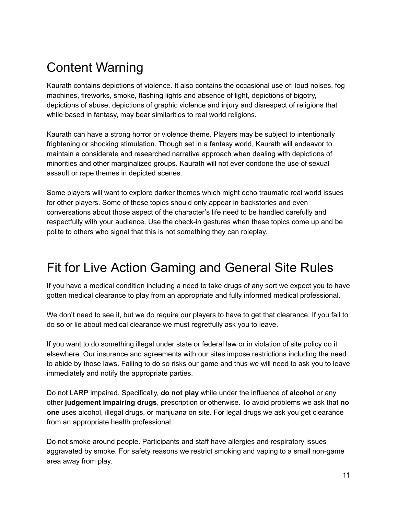## Content Warning

Kaurath contains depictions of violence. It also contains the occasional use of: loud noises, fog machines, fireworks, smoke, flashing lights and absence of light, depictions of bigotry, depictions of abuse, depictions of graphic violence and injury and disrespect of religions that while based in fantasy, may bear similarities to real world religions.

Kaurath can have a strong horror or violence theme. Players may be subject to intentionally frightening or shocking stimulation. Though set in a fantasy world, Kaurath will endeavor to maintain a considerate and researched narrative approach when dealing with depictions of minorities and other marginalized groups. Kaurath will not ever condone the use of sexual assault or rape themes in depicted scenes.

Some players will want to explore darker themes which might echo traumatic real world issues for other players. Some of these topics should only appear in backstories and even conversations about those aspect of the character's life need to be handled carefully and respectfully with your audience. Use the check-in gestures when these topics come up and be polite to others who signal that this is not something they can roleplay.

## Fit for Live Action Gaming and General Site Rules

If you have a medical condition including a need to take drugs of any sort we expect you to have gotten medical clearance to play from an appropriate and fully informed medical professional.

We don't need to see it, but we do require our players to have to get that clearance. If you fail to do so or lie about medical clearance we must regretfully ask you to leave.

If you want to do something illegal under state or federal law or in violation of site policy do it elsewhere. Our insurance and agreements with our sites impose restrictions including the need to abide by those laws. Failing to do so risks our game and thus we will need to ask you to leave immediately and notify the appropriate parties.

Do not LARP impaired. Specifically, **do not play** while under the influence of **alcohol** or any other **judgement impairing drugs**, prescription or otherwise. To avoid problems we ask that **no one** uses alcohol, illegal drugs, or marijuana on site. For legal drugs we ask you get clearance from an appropriate health professional.

Do not smoke around people. Participants and staff have allergies and respiratory issues aggravated by smoke. For safety reasons we restrict smoking and vaping to a small non-game area away from play.